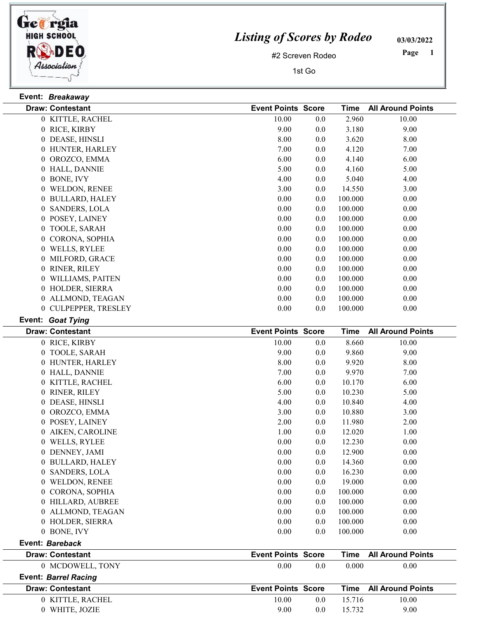

## Listing of Scores by Rodeo

03/03/2022

#2 Screven Rodeo

1st Go

 Page

|                | Event: Breakaway        |                           |     |             |                          |
|----------------|-------------------------|---------------------------|-----|-------------|--------------------------|
|                | <b>Draw: Contestant</b> | <b>Event Points Score</b> |     | <b>Time</b> | <b>All Around Points</b> |
|                | 0 KITTLE, RACHEL        | 10.00                     | 0.0 | 2.960       | 10.00                    |
|                | 0 RICE, KIRBY           | 9.00                      | 0.0 | 3.180       | 9.00                     |
|                | 0 DEASE, HINSLI         | 8.00                      | 0.0 | 3.620       | 8.00                     |
|                | 0 HUNTER, HARLEY        | 7.00                      | 0.0 | 4.120       | 7.00                     |
|                | 0 OROZCO, EMMA          | 6.00                      | 0.0 | 4.140       | 6.00                     |
|                | 0 HALL, DANNIE          | 5.00                      | 0.0 | 4.160       | 5.00                     |
|                | 0 BONE, IVY             | 4.00                      | 0.0 | 5.040       | 4.00                     |
|                | 0 WELDON, RENEE         | 3.00                      | 0.0 | 14.550      | 3.00                     |
|                | 0 BULLARD, HALEY        | 0.00                      | 0.0 | 100.000     | 0.00                     |
| $\overline{0}$ | <b>SANDERS, LOLA</b>    | 0.00                      | 0.0 | 100.000     | 0.00                     |
|                | 0 POSEY, LAINEY         | 0.00                      | 0.0 | 100.000     | 0.00                     |
|                | 0 TOOLE, SARAH          | 0.00                      | 0.0 | 100.000     | 0.00                     |
|                | 0 CORONA, SOPHIA        | 0.00                      | 0.0 | 100.000     | 0.00                     |
|                | 0 WELLS, RYLEE          | 0.00                      | 0.0 | 100.000     | 0.00                     |
|                | 0 MILFORD, GRACE        | 0.00                      | 0.0 | 100.000     | 0.00                     |
|                | 0 RINER, RILEY          | 0.00                      | 0.0 | 100.000     | 0.00                     |
|                | 0 WILLIAMS, PAITEN      | 0.00                      | 0.0 | 100.000     | 0.00                     |
|                | 0 HOLDER, SIERRA        | 0.00                      | 0.0 | 100.000     | 0.00                     |
|                | 0 ALLMOND, TEAGAN       | 0.00                      | 0.0 | 100.000     | 0.00                     |
|                | 0 CULPEPPER, TRESLEY    | 0.00                      | 0.0 | 100.000     | 0.00                     |
|                |                         |                           |     |             |                          |
|                | Event: Goat Tying       |                           |     |             |                          |
|                | <b>Draw: Contestant</b> | <b>Event Points Score</b> |     | <b>Time</b> | <b>All Around Points</b> |
|                | 0 RICE, KIRBY           | 10.00                     | 0.0 | 8.660       | 10.00                    |
|                | 0 TOOLE, SARAH          | 9.00                      | 0.0 | 9.860       | 9.00                     |
|                | 0 HUNTER, HARLEY        | 8.00                      | 0.0 | 9.920       | 8.00                     |
|                | 0 HALL, DANNIE          | 7.00                      | 0.0 | 9.970       | 7.00                     |
|                | 0 KITTLE, RACHEL        | 6.00                      | 0.0 | 10.170      | 6.00                     |
|                | 0 RINER, RILEY          | 5.00                      | 0.0 | 10.230      | 5.00                     |
|                | 0 DEASE, HINSLI         | 4.00                      | 0.0 | 10.840      | 4.00                     |
|                | 0 OROZCO, EMMA          | 3.00                      | 0.0 | 10.880      | 3.00                     |
|                | 0 POSEY, LAINEY         | 2.00                      | 0.0 | 11.980      | 2.00                     |
| $\overline{0}$ | AIKEN, CAROLINE         | 1.00                      | 0.0 | 12.020      | 1.00                     |
|                | 0 WELLS, RYLEE          | 0.00                      | 0.0 | 12.230      | 0.00                     |
|                | 0 DENNEY, JAMI          | 0.00                      | 0.0 | 12.900      | 0.00                     |
|                | 0 BULLARD, HALEY        | 0.00                      | 0.0 | 14.360      | 0.00                     |
| $\overline{0}$ | <b>SANDERS, LOLA</b>    | 0.00                      | 0.0 | 16.230      | 0.00                     |
|                | 0 WELDON, RENEE         | 0.00                      | 0.0 | 19.000      | 0.00                     |
|                | 0 CORONA, SOPHIA        | 0.00                      | 0.0 | 100.000     | 0.00                     |
|                | 0 HILLARD, AUBREE       | 0.00                      | 0.0 | 100.000     | 0.00                     |
|                | 0 ALLMOND, TEAGAN       | 0.00                      | 0.0 | 100.000     | 0.00                     |
|                | 0 HOLDER, SIERRA        | 0.00                      | 0.0 | 100.000     | 0.00                     |

| Event: Bareback |
|-----------------|
|-----------------|

| <b>Draw: Contestant</b>     | <b>Event Points Score</b> | <b>All Around Points</b><br>Time |
|-----------------------------|---------------------------|----------------------------------|
| 0 MCDOWELL, TONY            | 0.00<br>0.0               | 0.00<br>0.000                    |
| <b>Event: Barrel Racing</b> |                           |                                  |
| <b>Draw: Contestant</b>     | <b>Event Points Score</b> | <b>Time</b> All Around Points    |
| 0 KITTLE, RACHEL            | 10.00<br>0.0              | 10.00<br>15.716                  |

0 WHITE, JOZIE 9.00 9.00 0.0 15.732 9.00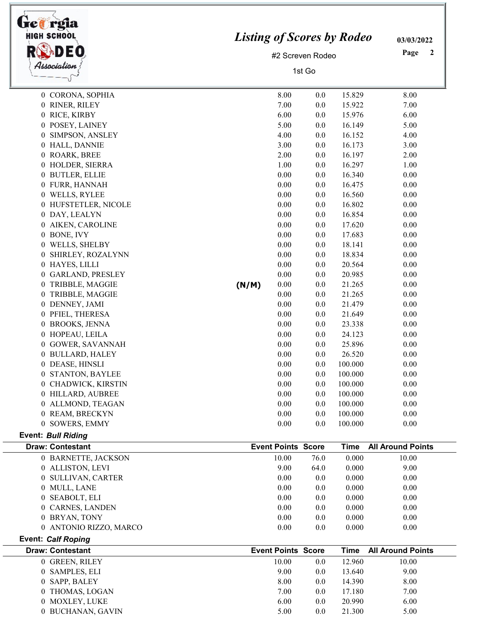| rgia<br>HIGH SCHOOL                 | <b>Listing of Scores by Rodeo</b> |                           |                  |             | 03/03/2022               |
|-------------------------------------|-----------------------------------|---------------------------|------------------|-------------|--------------------------|
| DEO                                 |                                   |                           | #2 Screven Rodeo |             | Page<br>2                |
| Association                         |                                   |                           |                  |             |                          |
|                                     |                                   | 1st Go                    |                  |             |                          |
|                                     |                                   |                           |                  |             |                          |
| 0 CORONA, SOPHIA                    |                                   | 8.00                      | 0.0              | 15.829      | 8.00                     |
| 0 RINER, RILEY                      |                                   | 7.00                      | 0.0              | 15.922      | 7.00                     |
| 0 RICE, KIRBY                       |                                   | 6.00                      | 0.0              | 15.976      | 6.00                     |
| 0 POSEY, LAINEY                     |                                   | 5.00                      | 0.0              | 16.149      | 5.00                     |
| SIMPSON, ANSLEY<br>0                |                                   | 4.00                      | 0.0              | 16.152      | 4.00                     |
| 0 HALL, DANNIE                      |                                   | 3.00                      | 0.0              | 16.173      | 3.00                     |
| 0 ROARK, BREE                       |                                   | 2.00                      | 0.0              | 16.197      | 2.00                     |
| 0 HOLDER, SIERRA                    |                                   | 1.00                      | 0.0              | 16.297      | 1.00                     |
| 0 BUTLER, ELLIE                     |                                   | 0.00                      | 0.0              | 16.340      | 0.00                     |
| 0 FURR, HANNAH                      |                                   | 0.00                      | 0.0              | 16.475      | 0.00                     |
| 0 WELLS, RYLEE                      |                                   | 0.00                      | 0.0              | 16.560      | 0.00                     |
| 0 HUFSTETLER, NICOLE                |                                   | 0.00                      | 0.0              | 16.802      | 0.00                     |
| 0 DAY, LEALYN                       |                                   | 0.00                      | 0.0              | 16.854      | 0.00                     |
| 0 AIKEN, CAROLINE                   |                                   | 0.00                      | 0.0              | 17.620      | 0.00                     |
| 0 BONE, IVY                         |                                   | 0.00                      | 0.0              | 17.683      | 0.00                     |
| WELLS, SHELBY<br>$\overline{0}$     |                                   | 0.00                      | 0.0              | 18.141      | 0.00                     |
| SHIRLEY, ROZALYNN<br>0              |                                   | 0.00                      | 0.0              | 18.834      | 0.00                     |
| 0 HAYES, LILLI                      |                                   | 0.00                      | 0.0              | 20.564      | 0.00                     |
| <b>GARLAND, PRESLEY</b><br>0        |                                   | 0.00                      | 0.0              | 20.985      | 0.00                     |
| 0<br>TRIBBLE, MAGGIE                | (N/M)                             | 0.00                      | 0.0              | 21.265      | 0.00                     |
| TRIBBLE, MAGGIE<br>0                |                                   | 0.00                      | 0.0              | 21.265      | 0.00                     |
| DENNEY, JAMI<br>$\mathbf{0}$        |                                   | 0.00                      | 0.0              | 21.479      | 0.00                     |
| 0 PFIEL, THERESA                    |                                   | 0.00                      | 0.0              | 21.649      | 0.00                     |
| 0 BROOKS, JENNA                     |                                   | 0.00                      | 0.0              | 23.338      | 0.00                     |
| HOPEAU, LEILA<br>0                  |                                   | 0.00                      | 0.0              | 24.123      | 0.00                     |
| 0 GOWER, SAVANNAH                   |                                   | 0.00                      | 0.0              | 25.896      | 0.00                     |
| 0 BULLARD, HALEY                    |                                   | 0.00                      | 0.0              | 26.520      | 0.00                     |
| 0 DEASE, HINSLI                     |                                   | 0.00                      | 0.0              | 100.000     | 0.00                     |
| 0 STANTON, BAYLEE                   |                                   | 0.00                      | 0.0              | 100.000     | 0.00                     |
| CHADWICK, KIRSTIN<br>$\overline{0}$ |                                   | 0.00                      | 0.0              | 100.000     | 0.00                     |
| 0 HILLARD, AUBREE                   |                                   | 0.00                      | 0.0              | 100.000     | 0.00                     |
| 0 ALLMOND, TEAGAN                   |                                   | 0.00                      | 0.0              | 100.000     | 0.00                     |
| 0 REAM, BRECKYN                     |                                   | $0.00\,$                  | 0.0              | 100.000     | 0.00                     |
| 0 SOWERS, EMMY                      |                                   | 0.00                      | 0.0              | 100.000     | 0.00                     |
| <b>Event: Bull Riding</b>           |                                   |                           |                  |             |                          |
| <b>Draw: Contestant</b>             |                                   | <b>Event Points Score</b> |                  | <b>Time</b> | <b>All Around Points</b> |
| 0 BARNETTE, JACKSON                 |                                   | 10.00                     | 76.0             | 0.000       | 10.00                    |
| 0 ALLISTON, LEVI                    |                                   | 9.00                      | 64.0             | 0.000       | 9.00                     |
| <b>SULLIVAN, CARTER</b><br>0        |                                   | 0.00                      | 0.0              | 0.000       | 0.00                     |
| 0 MULL, LANE                        |                                   | 0.00                      | 0.0              | 0.000       | 0.00                     |
| <b>SEABOLT, ELI</b><br>$\bf{0}$     |                                   | 0.00                      | 0.0              | 0.000       | 0.00                     |
| 0 CARNES, LANDEN                    |                                   | 0.00                      | 0.0              | 0.000       | 0.00                     |
| 0 BRYAN, TONY                       |                                   | $0.00\,$                  | 0.0              | 0.000       | 0.00                     |
| 0 ANTONIO RIZZO, MARCO              |                                   | 0.00                      | 0.0              | 0.000       | 0.00                     |
| <b>Event: Calf Roping</b>           |                                   |                           |                  |             |                          |
| <b>Draw: Contestant</b>             |                                   | <b>Event Points Score</b> |                  | <b>Time</b> | <b>All Around Points</b> |
| 0 GREEN, RILEY                      |                                   | 10.00                     | 0.0              | 12.960      | 10.00                    |
| 0 SAMPLES, ELI                      |                                   | 9.00                      | 0.0              | 13.640      | 9.00                     |
| 0 SAPP, BALEY                       |                                   | 8.00                      | 0.0              | 14.390      | 8.00                     |
|                                     |                                   |                           |                  |             |                          |

 $\overline{\phantom{0}}$ 

 $\begin{array}{ccccccccc} 0 & \text{THOMAS, LOGAN} & & & & & & 7.00 & & & 0.0 & & 17.180 & & & & 7.00 \\ 0 & \text{MOXLEY, LUKE} & & & & & & & 6.00 & & & 0.0 & & 20.990 & & & & 6.00 \end{array}$ MOXLEY, LUKE 6.00 6.00 0.0 20.990

0 BUCHANAN, GAVIN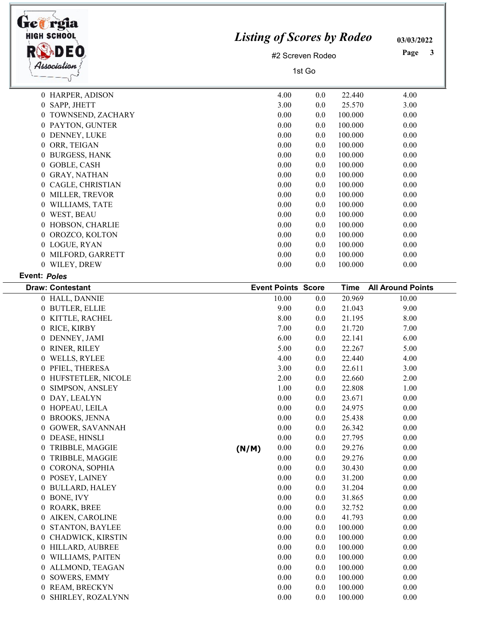| <b>Listing of Scores by Rodeo</b><br>#2 Screven Rodeo<br>1st Go | 03/03/2022<br>Page<br>3 |  |  |
|-----------------------------------------------------------------|-------------------------|--|--|
| 4.00<br>0.0<br>22.440                                           | 4.00                    |  |  |
| 3.00<br>25.570<br>0.0                                           | 3.00                    |  |  |
| 100.000<br>0.00<br>0.0                                          | 0.00                    |  |  |
| 100.000<br>0.00<br>0.0                                          | 0.00                    |  |  |
| 100.000<br>0.00<br>0.0                                          | 0.00                    |  |  |
| 100.000<br>0.00<br>0.0                                          | 0.00                    |  |  |
| 100.000<br>0.00<br>0.0                                          | 0.00                    |  |  |
| 100.000<br>0.00<br>0.0                                          | 0.00                    |  |  |
| 100.000<br>0.00<br>0.0                                          | 0.00                    |  |  |
| 100.000<br>0.00<br>0.0                                          | 0.00                    |  |  |
| 0.00<br>100.000<br>0.0                                          | 0.00                    |  |  |
| 0.00<br>100.000<br>0.0                                          | 0.00                    |  |  |
| 100.000<br>0.00<br>0.0                                          | 0.00                    |  |  |
| 0.00<br>100.000<br>0.0                                          | 0.00                    |  |  |
| 100.000<br>0.00<br>0.0                                          | 0.00                    |  |  |
| 0.00<br>100.000<br>0.0                                          | 0.00                    |  |  |
| 100.000<br>0.00<br>0.0                                          | 0.00                    |  |  |
| 100.000<br>0.00<br>0.0                                          | 0.00                    |  |  |
|                                                                 |                         |  |  |

## Event: Poles

| <b>Draw: Contestant</b> |       | <b>Event Points Score</b> |     | <b>Time</b> | <b>All Around Points</b> |
|-------------------------|-------|---------------------------|-----|-------------|--------------------------|
| 0 HALL, DANNIE          |       | 10.00                     | 0.0 | 20.969      | 10.00                    |
| 0 BUTLER, ELLIE         |       | 9.00                      | 0.0 | 21.043      | 9.00                     |
| 0 KITTLE, RACHEL        |       | 8.00                      | 0.0 | 21.195      | 8.00                     |
| 0 RICE, KIRBY           |       | 7.00                      | 0.0 | 21.720      | 7.00                     |
| 0 DENNEY, JAMI          |       | 6.00                      | 0.0 | 22.141      | 6.00                     |
| 0 RINER, RILEY          |       | 5.00                      | 0.0 | 22.267      | 5.00                     |
| 0 WELLS, RYLEE          |       | 4.00                      | 0.0 | 22.440      | 4.00                     |
| 0 PFIEL, THERESA        |       | 3.00                      | 0.0 | 22.611      | 3.00                     |
| 0 HUFSTETLER, NICOLE    |       | 2.00                      | 0.0 | 22.660      | 2.00                     |
| 0 SIMPSON, ANSLEY       |       | 1.00                      | 0.0 | 22.808      | 1.00                     |
| 0 DAY, LEALYN           |       | 0.00                      | 0.0 | 23.671      | 0.00                     |
| 0 HOPEAU, LEILA         |       | 0.00                      | 0.0 | 24.975      | 0.00                     |
| 0 BROOKS, JENNA         |       | 0.00                      | 0.0 | 25.438      | 0.00                     |
| 0 GOWER, SAVANNAH       |       | 0.00                      | 0.0 | 26.342      | 0.00                     |
| 0 DEASE, HINSLI         |       | 0.00                      | 0.0 | 27.795      | 0.00                     |
| 0 TRIBBLE, MAGGIE       | (N/M) | 0.00                      | 0.0 | 29.276      | 0.00                     |
| 0 TRIBBLE, MAGGIE       |       | 0.00                      | 0.0 | 29.276      | 0.00                     |
| 0 CORONA, SOPHIA        |       | 0.00                      | 0.0 | 30.430      | 0.00                     |
| 0 POSEY, LAINEY         |       | 0.00                      | 0.0 | 31.200      | 0.00                     |
| 0 BULLARD, HALEY        |       | 0.00                      | 0.0 | 31.204      | 0.00                     |
| 0 BONE, IVY             |       | 0.00                      | 0.0 | 31.865      | 0.00                     |
| 0 ROARK, BREE           |       | 0.00                      | 0.0 | 32.752      | 0.00                     |
| 0 AIKEN, CAROLINE       |       | 0.00                      | 0.0 | 41.793      | 0.00                     |
| 0 STANTON, BAYLEE       |       | 0.00                      | 0.0 | 100.000     | 0.00                     |
| 0 CHADWICK, KIRSTIN     |       | 0.00                      | 0.0 | 100.000     | 0.00                     |
| 0 HILLARD, AUBREE       |       | 0.00                      | 0.0 | 100.000     | 0.00                     |
| 0 WILLIAMS, PAITEN      |       | 0.00                      | 0.0 | 100.000     | 0.00                     |
| 0 ALLMOND, TEAGAN       |       | 0.00                      | 0.0 | 100.000     | 0.00                     |
| 0 SOWERS, EMMY          |       | 0.00                      | 0.0 | 100.000     | 0.00                     |
| 0 REAM, BRECKYN         |       | 0.00                      | 0.0 | 100.000     | 0.00                     |
| 0 SHIRLEY, ROZALYNN     |       | 0.00                      | 0.0 | 100.000     | 0.00                     |